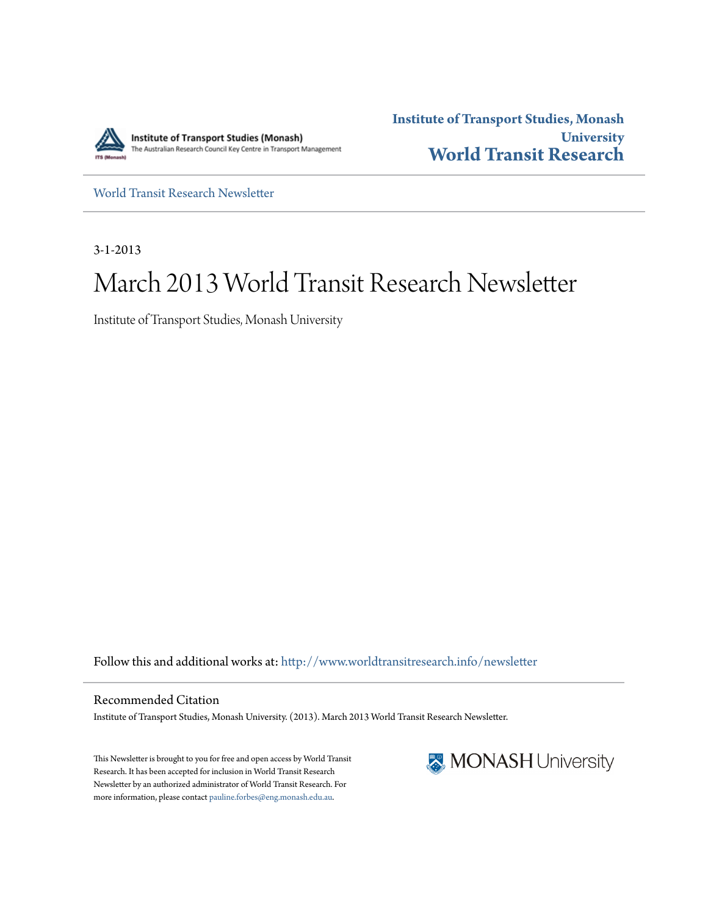

**Institute of Transport Studies, Monash University [World Transit Research](http://www.worldtransitresearch.info?utm_source=www.worldtransitresearch.info%2Fnewsletter%2F17&utm_medium=PDF&utm_campaign=PDFCoverPages)**

[World Transit Research Newsletter](http://www.worldtransitresearch.info/newsletter?utm_source=www.worldtransitresearch.info%2Fnewsletter%2F17&utm_medium=PDF&utm_campaign=PDFCoverPages)

3-1-2013

# March 2013 World Transit Research Newsletter

Institute of Transport Studies, Monash University

Follow this and additional works at: [http://www.worldtransitresearch.info/newsletter](http://www.worldtransitresearch.info/newsletter?utm_source=www.worldtransitresearch.info%2Fnewsletter%2F17&utm_medium=PDF&utm_campaign=PDFCoverPages)

Recommended Citation Institute of Transport Studies, Monash University. (2013). March 2013 World Transit Research Newsletter.

This Newsletter is brought to you for free and open access by World Transit Research. It has been accepted for inclusion in World Transit Research Newsletter by an authorized administrator of World Transit Research. For more information, please contact [pauline.forbes@eng.monash.edu.au](mailto:pauline.forbes@eng.monash.edu.au).

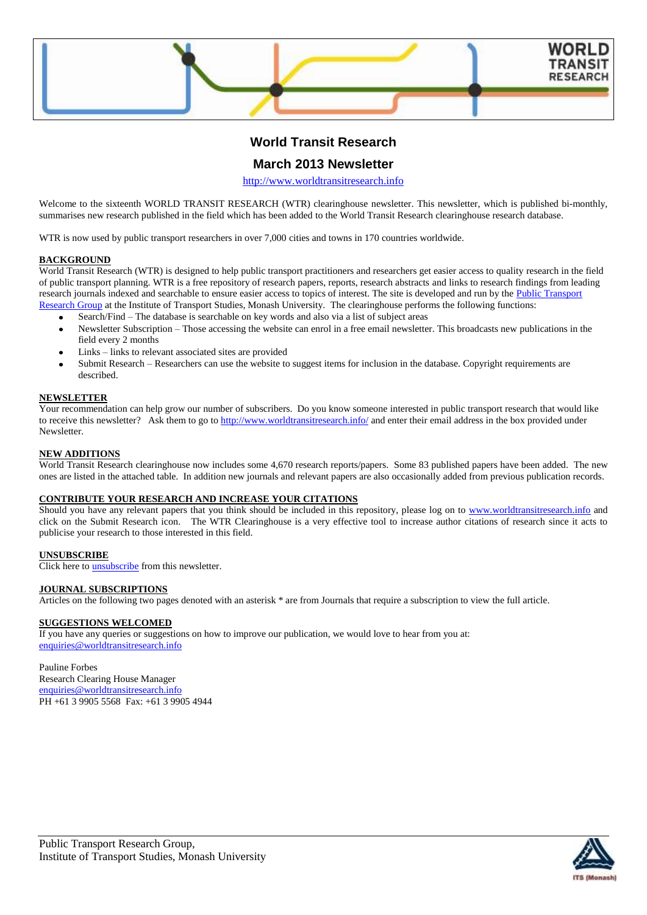

# **World Transit Research**

# **March 2013 Newsletter**

[http://www.worldtransitresearch.info](http://www.worldtransitresearch.info/)

Welcome to the sixteenth WORLD TRANSIT RESEARCH (WTR) clearinghouse newsletter. This newsletter, which is published bi-monthly, summarises new research published in the field which has been added to the World Transit Research clearinghouse research database.

WTR is now used by public transport researchers in over 7,000 cities and towns in 170 countries worldwide.

### **BACKGROUND**

World Transit Research (WTR) is designed to help public transport practitioners and researchers get easier access to quality research in the field of public transport planning. WTR is a free repository of research papers, reports, research abstracts and links to research findings from leading research journals indexed and searchable to ensure easier access to topics of interest. The site is developed and run by the Public Transport [Research Group](http://eng.monash.edu.au/civil/research/centres/its/research-activities/public-transport-planning.html) at the Institute of Transport Studies, Monash University. The clearinghouse performs the following functions:

- Search/Find The database is searchable on key words and also via a list of subject areas
- Newsletter Subscription Those accessing the website can enrol in a free email newsletter. This broadcasts new publications in the field every 2 months
- Links links to relevant associated sites are provided
- Submit Research Researchers can use the website to suggest items for inclusion in the database. Copyright requirements are described.

#### **NEWSLETTER**

Your recommendation can help grow our number of subscribers. Do you know someone interested in public transport research that would like to receive this newsletter? Ask them to go to<http://www.worldtransitresearch.info/> and enter their email address in the box provided under Newsletter.

### **NEW ADDITIONS**

World Transit Research clearinghouse now includes some 4,670 research reports/papers. Some 83 published papers have been added. The new ones are listed in the attached table. In addition new journals and relevant papers are also occasionally added from previous publication records.

### **CONTRIBUTE YOUR RESEARCH AND INCREASE YOUR CITATIONS**

Should you have any relevant papers that you think should be included in this repository, please log on to [www.worldtransitresearch.info](http://www.worldtransitresearch.info/) and click on the Submit Research icon. The WTR Clearinghouse is a very effective tool to increase author citations of research since it acts to publicise your research to those interested in this field.

# **UNSUBSCRIBE**

Click here to **unsubscribe** from this newsletter.

### **JOURNAL SUBSCRIPTIONS**

Articles on the following two pages denoted with an asterisk \* are from Journals that require a subscription to view the full article.

## **SUGGESTIONS WELCOMED**

If you have any queries or suggestions on how to improve our publication, we would love to hear from you at: [enquiries@worldtransitresearch.info](mailto:enquiries@worldtransitresearch.info)

### Pauline Forbes

Research Clearing House Manager [enquiries@worldtransitresearch.info](mailto:enquiries@worldtransitresearch.info) PH +61 3 9905 5568 Fax: +61 3 9905 4944

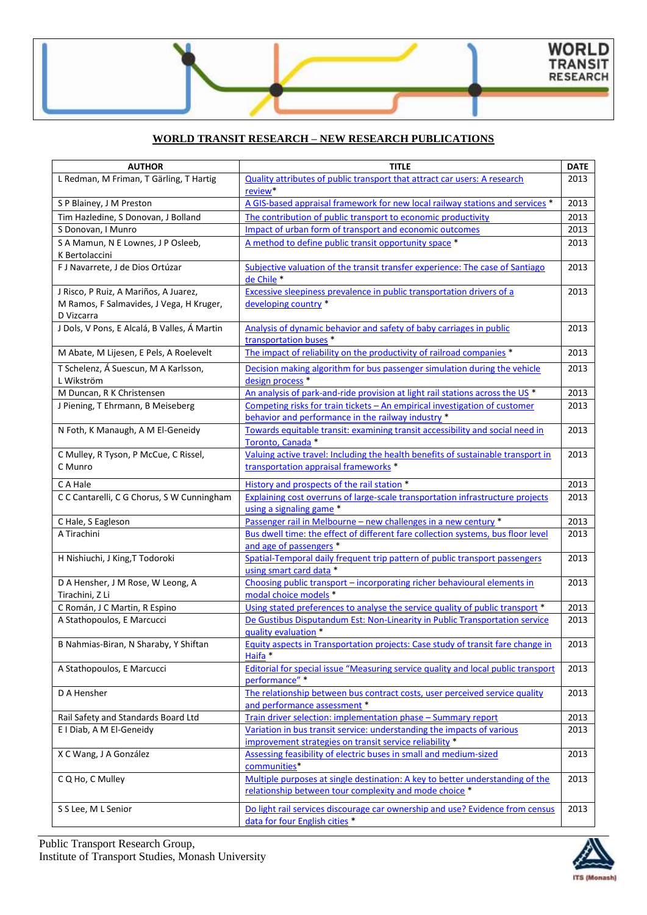

# **WORLD TRANSIT RESEARCH – NEW RESEARCH PUBLICATIONS**

| <b>AUTHOR</b>                                              | <b>TITLE</b>                                                                                             | <b>DATE</b> |
|------------------------------------------------------------|----------------------------------------------------------------------------------------------------------|-------------|
| L Redman, M Friman, T Gärling, T Hartig                    | <b>Quality attributes of public transport that attract car users: A research</b>                         | 2013        |
|                                                            | review*                                                                                                  |             |
| S P Blainey, J M Preston                                   | A GIS-based appraisal framework for new local railway stations and services *                            | 2013        |
| Tim Hazledine, S Donovan, J Bolland                        | The contribution of public transport to economic productivity                                            | 2013        |
| S Donovan, I Munro                                         | Impact of urban form of transport and economic outcomes                                                  | 2013        |
| S A Mamun, N E Lownes, J P Osleeb,                         | A method to define public transit opportunity space *                                                    | 2013        |
| K Bertolaccini                                             |                                                                                                          |             |
| F J Navarrete, J de Dios Ortúzar                           | Subjective valuation of the transit transfer experience: The case of Santiago                            | 2013        |
|                                                            | de Chile*                                                                                                |             |
| J Risco, P Ruiz, A Mariños, A Juarez,                      | Excessive sleepiness prevalence in public transportation drivers of a                                    | 2013        |
| M Ramos, F Salmavides, J Vega, H Kruger,                   | developing country *                                                                                     |             |
| D Vizcarra<br>J Dols, V Pons, E Alcalá, B Valles, Á Martin | Analysis of dynamic behavior and safety of baby carriages in public                                      | 2013        |
|                                                            | transportation buses *                                                                                   |             |
| M Abate, M Lijesen, E Pels, A Roelevelt                    | The impact of reliability on the productivity of railroad companies *                                    | 2013        |
|                                                            |                                                                                                          |             |
| T Schelenz, Á Suescun, M A Karlsson,<br>L Wikström         | Decision making algorithm for bus passenger simulation during the vehicle<br>design process <sup>*</sup> | 2013        |
| M Duncan, R K Christensen                                  | An analysis of park-and-ride provision at light rail stations across the US *                            | 2013        |
| J Piening, T Ehrmann, B Meiseberg                          | Competing risks for train tickets - An empirical investigation of customer                               | 2013        |
|                                                            | behavior and performance in the railway industry *                                                       |             |
| N Foth, K Manaugh, A M El-Geneidy                          | Towards equitable transit: examining transit accessibility and social need in                            | 2013        |
|                                                            | Toronto, Canada *                                                                                        |             |
| C Mulley, R Tyson, P McCue, C Rissel,                      | Valuing active travel: Including the health benefits of sustainable transport in                         | 2013        |
| C Munro                                                    | transportation appraisal frameworks *                                                                    |             |
| C A Hale                                                   | History and prospects of the rail station *                                                              | 2013        |
| C C Cantarelli, C G Chorus, S W Cunningham                 | Explaining cost overruns of large-scale transportation infrastructure projects                           | 2013        |
|                                                            | using a signaling game *                                                                                 |             |
| C Hale, S Eagleson                                         | Passenger rail in Melbourne - new challenges in a new century *                                          | 2013        |
| A Tirachini                                                | Bus dwell time: the effect of different fare collection systems, bus floor level                         | 2013        |
|                                                            | and age of passengers *                                                                                  |             |
| H Nishiuchi, J King, T Todoroki                            | Spatial-Temporal daily frequent trip pattern of public transport passengers                              | 2013        |
|                                                            | using smart card data *                                                                                  |             |
| D A Hensher, J M Rose, W Leong, A                          | Choosing public transport - incorporating richer behavioural elements in                                 | 2013        |
| Tirachini, Z Li                                            | modal choice models *                                                                                    |             |
| C Román, J C Martin, R Espino                              | Using stated preferences to analyse the service quality of public transport *                            | 2013        |
| A Stathopoulos, E Marcucci                                 | De Gustibus Disputandum Est: Non-Linearity in Public Transportation service                              | 2013        |
|                                                            | quality evaluation *                                                                                     |             |
| B Nahmias-Biran, N Sharaby, Y Shiftan                      | Equity aspects in Transportation projects: Case study of transit fare change in<br>Haifa *               | 2013        |
| A Stathopoulos, E Marcucci                                 | Editorial for special issue "Measuring service quality and local public transport                        | 2013        |
|                                                            | performance" *                                                                                           |             |
| D A Hensher                                                | The relationship between bus contract costs, user perceived service quality                              | 2013        |
|                                                            | and performance assessment *                                                                             |             |
| Rail Safety and Standards Board Ltd                        | Train driver selection: implementation phase - Summary report                                            | 2013        |
| E I Diab, A M El-Geneidy                                   | Variation in bus transit service: understanding the impacts of various                                   | 2013        |
|                                                            | improvement strategies on transit service reliability *                                                  |             |
| X C Wang, J A González                                     | Assessing feasibility of electric buses in small and medium-sized                                        | 2013        |
|                                                            | communities*                                                                                             |             |
| C Q Ho, C Mulley                                           | Multiple purposes at single destination: A key to better understanding of the                            | 2013        |
|                                                            | relationship between tour complexity and mode choice *                                                   |             |
| S S Lee, M L Senior                                        | Do light rail services discourage car ownership and use? Evidence from census                            | 2013        |
|                                                            | data for four English cities *                                                                           |             |

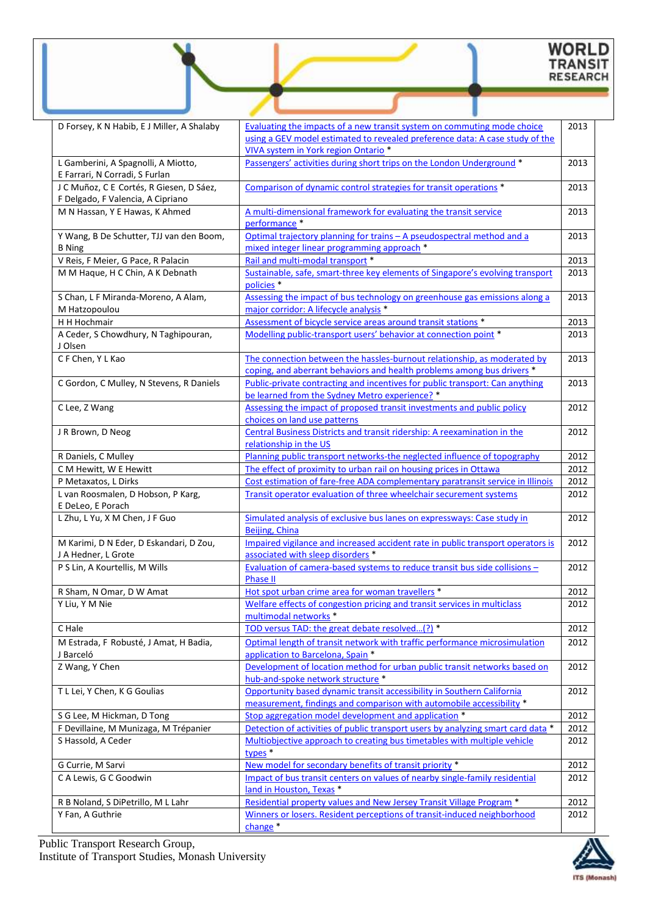# WORLD<br>TRANSIT<br>RESEARCH

| D Forsey, K N Habib, E J Miller, A Shalaby                                    | Evaluating the impacts of a new transit system on commuting mode choice                                                                            | 2013 |
|-------------------------------------------------------------------------------|----------------------------------------------------------------------------------------------------------------------------------------------------|------|
|                                                                               | using a GEV model estimated to revealed preference data: A case study of the                                                                       |      |
|                                                                               | VIVA system in York region Ontario <sup>*</sup>                                                                                                    |      |
| L Gamberini, A Spagnolli, A Miotto,<br>E Farrari, N Corradi, S Furlan         | Passengers' activities during short trips on the London Underground *                                                                              | 2013 |
| J C Muñoz, C E Cortés, R Giesen, D Sáez,<br>F Delgado, F Valencia, A Cipriano | Comparison of dynamic control strategies for transit operations *                                                                                  | 2013 |
| M N Hassan, Y E Hawas, K Ahmed                                                | A multi-dimensional framework for evaluating the transit service<br>performance *                                                                  | 2013 |
| Y Wang, B De Schutter, TJJ van den Boom,<br><b>B</b> Ning                     | Optimal trajectory planning for trains - A pseudospectral method and a<br>mixed integer linear programming approach *                              | 2013 |
| V Reis, F Meier, G Pace, R Palacin                                            | Rail and multi-modal transport *                                                                                                                   | 2013 |
| M M Haque, H C Chin, A K Debnath                                              | Sustainable, safe, smart-three key elements of Singapore's evolving transport<br>policies <sup>*</sup>                                             | 2013 |
| S Chan, L F Miranda-Moreno, A Alam,<br>M Hatzopoulou                          | Assessing the impact of bus technology on greenhouse gas emissions along a<br>major corridor: A lifecycle analysis *                               | 2013 |
| H H Hochmair                                                                  | Assessment of bicycle service areas around transit stations *                                                                                      | 2013 |
| A Ceder, S Chowdhury, N Taghipouran,<br>J Olsen                               | Modelling public-transport users' behavior at connection point *                                                                                   | 2013 |
| CF Chen, Y L Kao                                                              | The connection between the hassles-burnout relationship, as moderated by<br>coping, and aberrant behaviors and health problems among bus drivers * | 2013 |
| C Gordon, C Mulley, N Stevens, R Daniels                                      | Public-private contracting and incentives for public transport: Can anything<br>be learned from the Sydney Metro experience? *                     | 2013 |
| C Lee, Z Wang                                                                 | Assessing the impact of proposed transit investments and public policy<br>choices on land use patterns                                             | 2012 |
| J R Brown, D Neog                                                             | Central Business Districts and transit ridership: A reexamination in the<br>relationship in the US                                                 | 2012 |
| R Daniels, C Mulley                                                           | Planning public transport networks-the neglected influence of topography                                                                           | 2012 |
| C M Hewitt, W E Hewitt                                                        | The effect of proximity to urban rail on housing prices in Ottawa                                                                                  | 2012 |
| P Metaxatos, L Dirks                                                          | Cost estimation of fare-free ADA complementary paratransit service in Illinois                                                                     | 2012 |
| L van Roosmalen, D Hobson, P Karg,<br>E DeLeo, E Porach                       | Transit operator evaluation of three wheelchair securement systems                                                                                 | 2012 |
| L Zhu, L Yu, X M Chen, J F Guo                                                | Simulated analysis of exclusive bus lanes on expressways: Case study in<br><b>Beijing, China</b>                                                   | 2012 |
| M Karimi, D N Eder, D Eskandari, D Zou,<br>J A Hedner, L Grote                | Impaired vigilance and increased accident rate in public transport operators is<br>associated with sleep disorders *                               | 2012 |
| P S Lin, A Kourtellis, M Wills                                                | Evaluation of camera-based systems to reduce transit bus side collisions -<br><b>Phase II</b>                                                      | 2012 |
| R Sham, N Omar, D W Amat                                                      | Hot spot urban crime area for woman travellers *                                                                                                   | 2012 |
| Y Liu, Y M Nie                                                                | Welfare effects of congestion pricing and transit services in multiclass<br>multimodal networks *                                                  | 2012 |
| C Hale                                                                        | TOD versus TAD: the great debate resolved(?) *                                                                                                     | 2012 |
| M Estrada, F Robusté, J Amat, H Badia,<br>J Barceló                           | Optimal length of transit network with traffic performance microsimulation<br>application to Barcelona, Spain *                                    | 2012 |
| Z Wang, Y Chen                                                                | Development of location method for urban public transit networks based on<br>hub-and-spoke network structure *                                     | 2012 |
| T L Lei, Y Chen, K G Goulias                                                  | Opportunity based dynamic transit accessibility in Southern California<br>measurement, findings and comparison with automobile accessibility *     | 2012 |
| S G Lee, M Hickman, D Tong                                                    | Stop aggregation model development and application *                                                                                               | 2012 |
| F Devillaine, M Munizaga, M Trépanier                                         | Detection of activities of public transport users by analyzing smart card data *                                                                   | 2012 |
| S Hassold, A Ceder                                                            | Multiobjective approach to creating bus timetables with multiple vehicle<br>types <sup>*</sup>                                                     | 2012 |
| G Currie, M Sarvi                                                             | New model for secondary benefits of transit priority *                                                                                             | 2012 |
| C A Lewis, G C Goodwin                                                        | Impact of bus transit centers on values of nearby single-family residential<br>land in Houston, Texas *                                            | 2012 |
| R B Noland, S DiPetrillo, M L Lahr                                            | Residential property values and New Jersey Transit Village Program *                                                                               | 2012 |
| Y Fan, A Guthrie                                                              | Winners or losers. Resident perceptions of transit-induced neighborhood<br>change <sup>*</sup>                                                     | 2012 |
|                                                                               |                                                                                                                                                    |      |